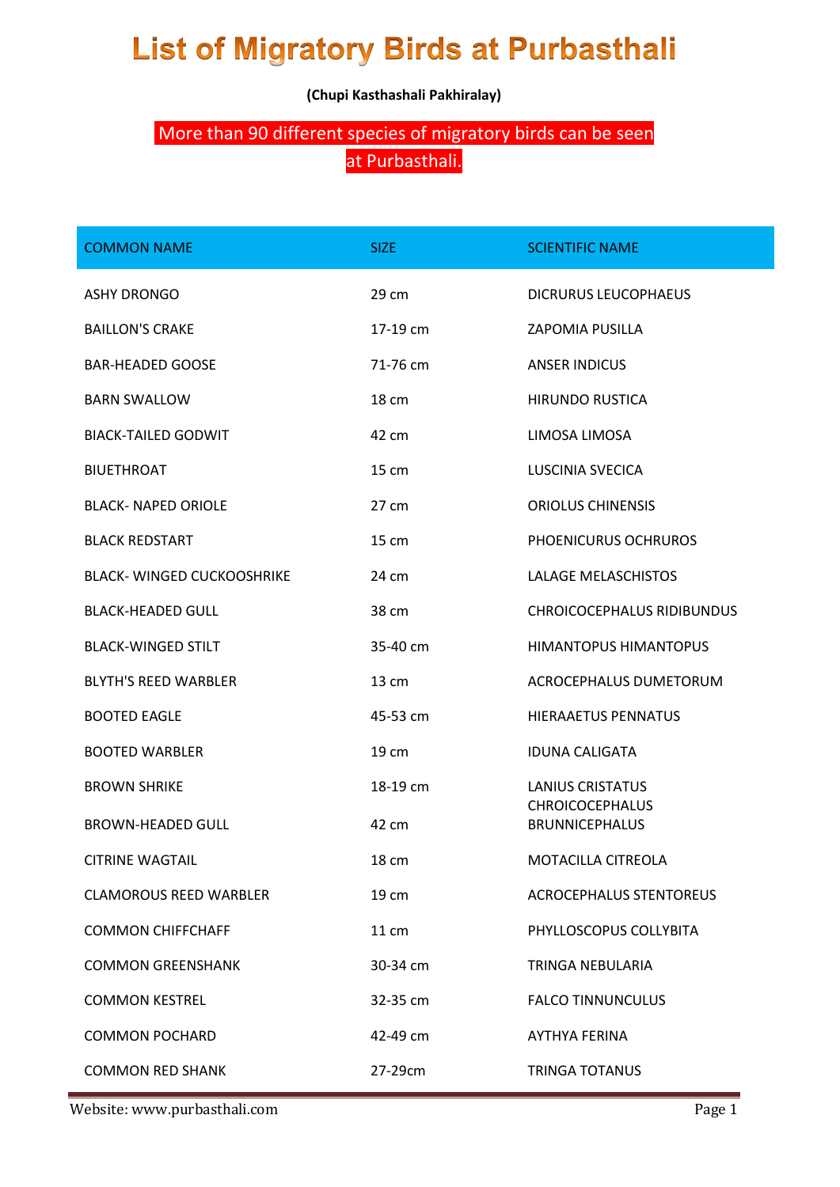## **List of Migratory Birds at Purbasthali**

**(Chupi Kasthashali Pakhiralay)**

## More than 90 different species of migratory birds can be seen at Purbasthali.

| <b>COMMON NAME</b>               | SIZE     | <b>SCIENTIFIC NAME</b>                          |
|----------------------------------|----------|-------------------------------------------------|
| <b>ASHY DRONGO</b>               | 29 cm    | <b>DICRURUS LEUCOPHAEUS</b>                     |
| <b>BAILLON'S CRAKE</b>           | 17-19 cm | <b>ZAPOMIA PUSILLA</b>                          |
| <b>BAR-HEADED GOOSE</b>          | 71-76 cm | <b>ANSER INDICUS</b>                            |
| <b>BARN SWALLOW</b>              | 18 cm    | <b>HIRUNDO RUSTICA</b>                          |
| <b>BIACK-TAILED GODWIT</b>       | 42 cm    | LIMOSA LIMOSA                                   |
| <b>BIUETHROAT</b>                | 15 cm    | <b>LUSCINIA SVECICA</b>                         |
| <b>BLACK- NAPED ORIOLE</b>       | 27 cm    | <b>ORIOLUS CHINENSIS</b>                        |
| <b>BLACK REDSTART</b>            | 15 cm    | PHOENICURUS OCHRUROS                            |
| <b>BLACK-WINGED CUCKOOSHRIKE</b> | 24 cm    | <b>LALAGE MELASCHISTOS</b>                      |
| <b>BLACK-HEADED GULL</b>         | 38 cm    | <b>CHROICOCEPHALUS RIDIBUNDUS</b>               |
| <b>BLACK-WINGED STILT</b>        | 35-40 cm | <b>HIMANTOPUS HIMANTOPUS</b>                    |
| <b>BLYTH'S REED WARBLER</b>      | 13 cm    | ACROCEPHALUS DUMETORUM                          |
| <b>BOOTED EAGLE</b>              | 45-53 cm | <b>HIERAAETUS PENNATUS</b>                      |
| <b>BOOTED WARBLER</b>            | 19 cm    | <b>IDUNA CALIGATA</b>                           |
| <b>BROWN SHRIKE</b>              | 18-19 cm | <b>LANIUS CRISTATUS</b>                         |
| <b>BROWN-HEADED GULL</b>         | 42 cm    | <b>CHROICOCEPHALUS</b><br><b>BRUNNICEPHALUS</b> |
| <b>CITRINE WAGTAIL</b>           | 18 cm    | MOTACILLA CITREOLA                              |
| <b>CLAMOROUS REED WARBLER</b>    | 19 cm    | <b>ACROCEPHALUS STENTOREUS</b>                  |
| <b>COMMON CHIFFCHAFF</b>         | 11 cm    | PHYLLOSCOPUS COLLYBITA                          |
| <b>COMMON GREENSHANK</b>         | 30-34 cm | TRINGA NEBULARIA                                |
| <b>COMMON KESTREL</b>            | 32-35 cm | <b>FALCO TINNUNCULUS</b>                        |
| <b>COMMON POCHARD</b>            | 42-49 cm | <b>AYTHYA FERINA</b>                            |
| <b>COMMON RED SHANK</b>          | 27-29cm  | <b>TRINGA TOTANUS</b>                           |

Website: www.purbasthali.com expansion of the page 1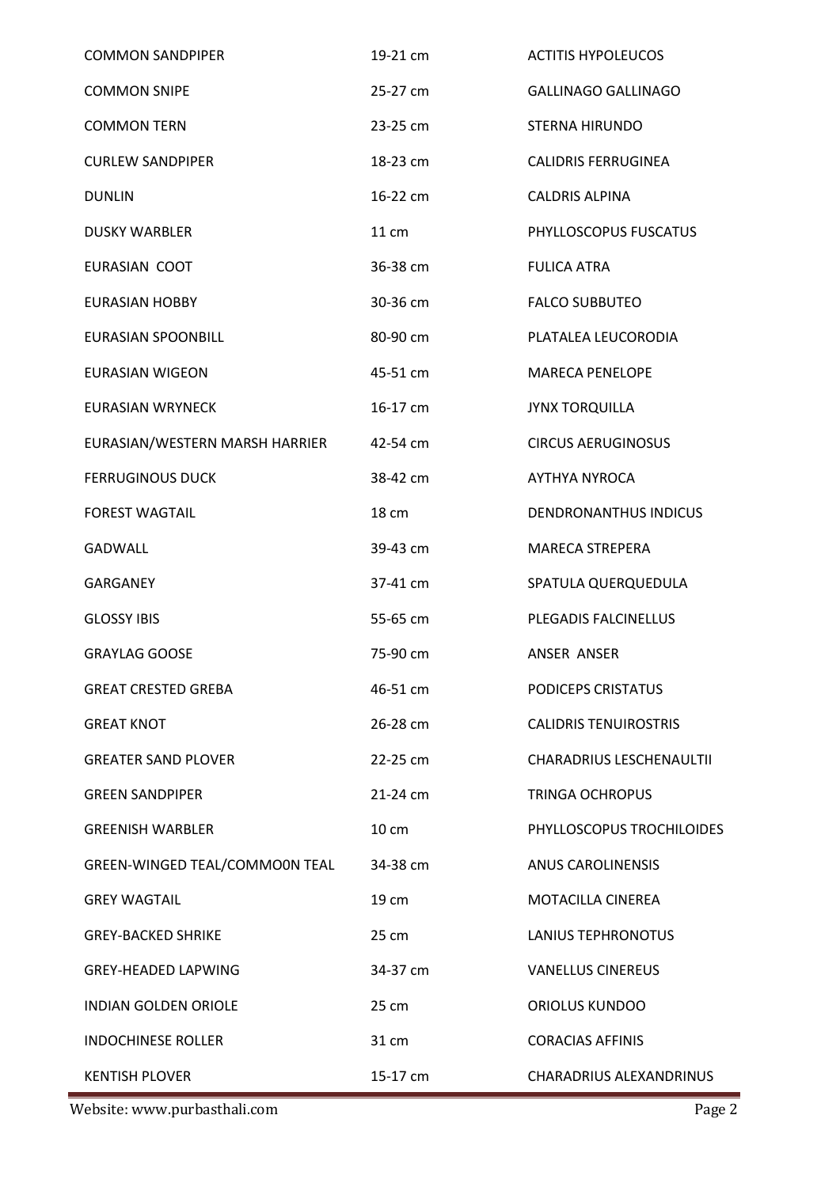| <b>COMMON SANDPIPER</b>        | 19-21 cm | <b>ACTITIS HYPOLEUCOS</b>    |
|--------------------------------|----------|------------------------------|
| <b>COMMON SNIPE</b>            | 25-27 cm | <b>GALLINAGO GALLINAGO</b>   |
| <b>COMMON TERN</b>             | 23-25 cm | STERNA HIRUNDO               |
| <b>CURLEW SANDPIPER</b>        | 18-23 cm | <b>CALIDRIS FERRUGINEA</b>   |
| <b>DUNLIN</b>                  | 16-22 cm | <b>CALDRIS ALPINA</b>        |
| <b>DUSKY WARBLER</b>           | 11 cm    | PHYLLOSCOPUS FUSCATUS        |
| EURASIAN COOT                  | 36-38 cm | <b>FULICA ATRA</b>           |
| <b>EURASIAN HOBBY</b>          | 30-36 cm | <b>FALCO SUBBUTEO</b>        |
| <b>EURASIAN SPOONBILL</b>      | 80-90 cm | PLATALEA LEUCORODIA          |
| <b>EURASIAN WIGEON</b>         | 45-51 cm | <b>MARECA PENELOPE</b>       |
| <b>EURASIAN WRYNECK</b>        | 16-17 cm | <b>JYNX TORQUILLA</b>        |
| EURASIAN/WESTERN MARSH HARRIER | 42-54 cm | <b>CIRCUS AERUGINOSUS</b>    |
| <b>FERRUGINOUS DUCK</b>        | 38-42 cm | <b>AYTHYA NYROCA</b>         |
| <b>FOREST WAGTAIL</b>          | 18 cm    | <b>DENDRONANTHUS INDICUS</b> |
| <b>GADWALL</b>                 | 39-43 cm | MARECA STREPERA              |
| <b>GARGANEY</b>                | 37-41 cm | SPATULA QUERQUEDULA          |
| <b>GLOSSY IBIS</b>             | 55-65 cm | PLEGADIS FALCINELLUS         |
| <b>GRAYLAG GOOSE</b>           | 75-90 cm | ANSER ANSER                  |
| <b>GREAT CRESTED GREBA</b>     | 46-51 cm | PODICEPS CRISTATUS           |
| <b>GREAT KNOT</b>              | 26-28 cm | <b>CALIDRIS TENUIROSTRIS</b> |
| <b>GREATER SAND PLOVER</b>     | 22-25 cm | CHARADRIUS LESCHENAULTII     |
| <b>GREEN SANDPIPER</b>         | 21-24 cm | <b>TRINGA OCHROPUS</b>       |
| <b>GREENISH WARBLER</b>        | 10 cm    | PHYLLOSCOPUS TROCHILOIDES    |
| GREEN-WINGED TEAL/COMMOON TEAL | 34-38 cm | <b>ANUS CAROLINENSIS</b>     |
| <b>GREY WAGTAIL</b>            | 19 cm    | <b>MOTACILLA CINEREA</b>     |
| <b>GREY-BACKED SHRIKE</b>      | 25 cm    | <b>LANIUS TEPHRONOTUS</b>    |
| <b>GREY-HEADED LAPWING</b>     | 34-37 cm | <b>VANELLUS CINEREUS</b>     |
| <b>INDIAN GOLDEN ORIOLE</b>    | 25 cm    | <b>ORIOLUS KUNDOO</b>        |
| <b>INDOCHINESE ROLLER</b>      | 31 cm    | <b>CORACIAS AFFINIS</b>      |
| <b>KENTISH PLOVER</b>          | 15-17 cm | CHARADRIUS ALEXANDRINUS      |

website: www.purbasthali.com Page 2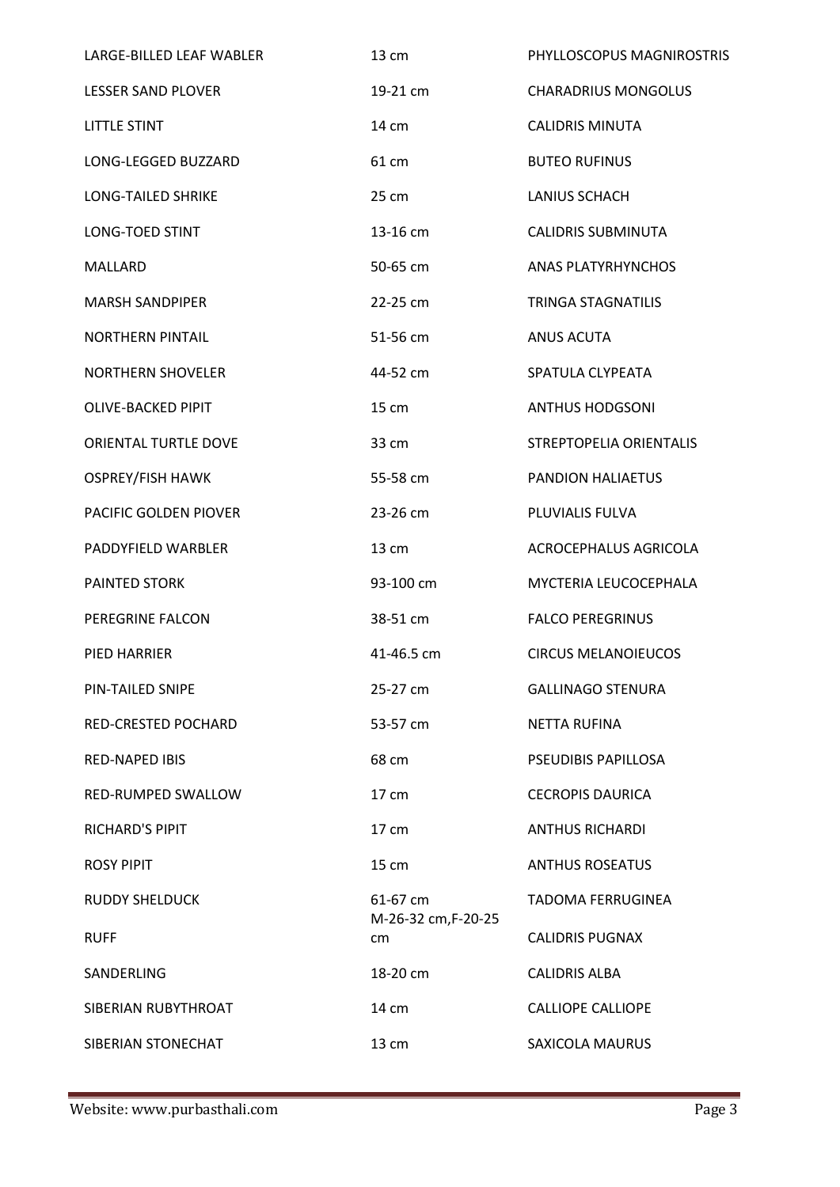| LARGE-BILLED LEAF WABLER   | 13 cm                     | PHYLLOSCOPUS MAGNIROSTRIS  |
|----------------------------|---------------------------|----------------------------|
| <b>LESSER SAND PLOVER</b>  | 19-21 cm                  | <b>CHARADRIUS MONGOLUS</b> |
| <b>LITTLE STINT</b>        | 14 cm                     | <b>CALIDRIS MINUTA</b>     |
| LONG-LEGGED BUZZARD        | 61 cm                     | <b>BUTEO RUFINUS</b>       |
| LONG-TAILED SHRIKE         | 25 cm                     | <b>LANIUS SCHACH</b>       |
| LONG-TOED STINT            | 13-16 cm                  | <b>CALIDRIS SUBMINUTA</b>  |
| <b>MALLARD</b>             | 50-65 cm                  | <b>ANAS PLATYRHYNCHOS</b>  |
| <b>MARSH SANDPIPER</b>     | 22-25 cm                  | <b>TRINGA STAGNATILIS</b>  |
| <b>NORTHERN PINTAIL</b>    | 51-56 cm                  | <b>ANUS ACUTA</b>          |
| <b>NORTHERN SHOVELER</b>   | 44-52 cm                  | SPATULA CLYPEATA           |
| <b>OLIVE-BACKED PIPIT</b>  | 15 cm                     | <b>ANTHUS HODGSONI</b>     |
| ORIENTAL TURTLE DOVE       | 33 cm                     | STREPTOPELIA ORIENTALIS    |
| <b>OSPREY/FISH HAWK</b>    | 55-58 cm                  | PANDION HALIAETUS          |
| PACIFIC GOLDEN PIOVER      | 23-26 cm                  | PLUVIALIS FULVA            |
| PADDYFIELD WARBLER         | 13 cm                     | ACROCEPHALUS AGRICOLA      |
| <b>PAINTED STORK</b>       | 93-100 cm                 | MYCTERIA LEUCOCEPHALA      |
| PEREGRINE FALCON           | 38-51 cm                  | <b>FALCO PEREGRINUS</b>    |
| PIED HARRIER               | 41-46.5 cm                | <b>CIRCUS MELANOIEUCOS</b> |
| PIN-TAILED SNIPE           | 25-27 cm                  | <b>GALLINAGO STENURA</b>   |
| <b>RED-CRESTED POCHARD</b> | 53-57 cm                  | NETTA RUFINA               |
| <b>RED-NAPED IBIS</b>      | 68 cm                     | PSEUDIBIS PAPILLOSA        |
| RED-RUMPED SWALLOW         | $17 \text{ cm}$           | <b>CECROPIS DAURICA</b>    |
| <b>RICHARD'S PIPIT</b>     | $17 \text{ cm}$           | <b>ANTHUS RICHARDI</b>     |
| <b>ROSY PIPIT</b>          | 15 cm                     | <b>ANTHUS ROSEATUS</b>     |
| <b>RUDDY SHELDUCK</b>      | 61-67 cm                  | <b>TADOMA FERRUGINEA</b>   |
| <b>RUFF</b>                | M-26-32 cm, F-20-25<br>cm | <b>CALIDRIS PUGNAX</b>     |
| SANDERLING                 | 18-20 cm                  | <b>CALIDRIS ALBA</b>       |
| SIBERIAN RUBYTHROAT        | 14 cm                     | <b>CALLIOPE CALLIOPE</b>   |
| SIBERIAN STONECHAT         | 13 cm                     | SAXICOLA MAURUS            |